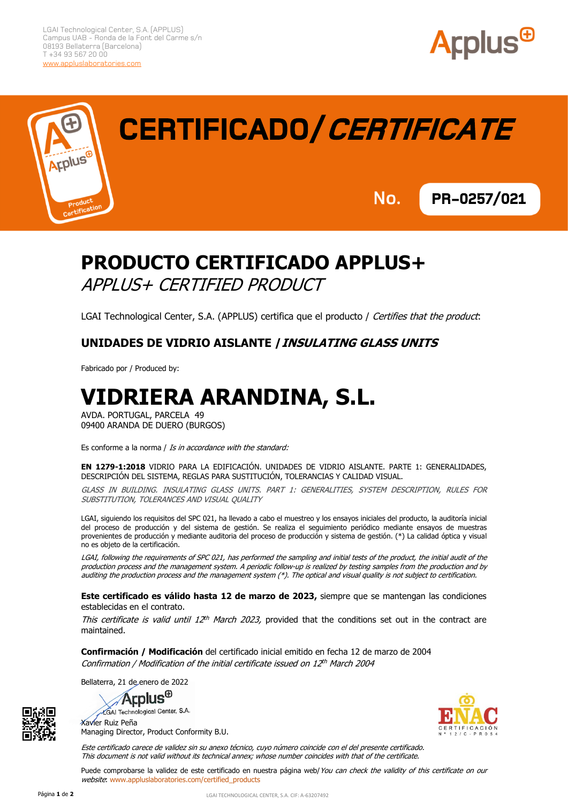



# **CERTIFICADO/CERTIFICATE**

No. **PR-0257/021** 

### **PRODUCTO CERTIFICADO APPLUS+** APPLUS+ CERTIFIED PRODUCT

LGAI Technological Center, S.A. (APPLUS) certifica que el producto / Certifies that the product:

#### **UNIDADES DE VIDRIO AISLANTE /INSULATING GLASS UNITS**

Fabricado por / Produced by:

## **VIDRIERA ARANDINA, S.L.**

AVDA. PORTUGAL, PARCELA 49 09400 ARANDA DE DUERO (BURGOS)

Es conforme a la norma / Is in accordance with the standard:

**EN 1279-1:2018** VIDRIO PARA LA EDIFICACIÓN. UNIDADES DE VIDRIO AISLANTE. PARTE 1: GENERALIDADES, DESCRIPCIÓN DEL SISTEMA, REGLAS PARA SUSTITUCIÓN, TOLERANCIAS Y CALIDAD VISUAL.

GLASS IN BUILDING. INSULATING GLASS UNITS. PART 1: GENERALITIES, SYSTEM DESCRIPTION, RULES FOR SUBSTITUTION, TOLERANCES AND VISUAL QUALITY

LGAI, siguiendo los requisitos del SPC 021, ha llevado a cabo el muestreo y los ensayos iniciales del producto, la auditoría inicial del proceso de producción y del sistema de gestión. Se realiza el seguimiento periódico mediante ensayos de muestras provenientes de producción y mediante auditoria del proceso de producción y sistema de gestión. (\*) La calidad óptica y visual no es objeto de la certificación.

LGAI, following the requirements of SPC 021, has performed the sampling and initial tests of the product, the initial audit of the production process and the management system. A periodic follow-up is realized by testing samples from the production and by auditing the production process and the management system (\*). The optical and visual quality is not subject to certification.

**Este certificado es válido hasta 12 de marzo de 2023,** siempre que se mantengan las condiciones establecidas en el contrato.

This certificate is valid until 12<sup>th</sup> March 2023, provided that the conditions set out in the contract are maintained.

**Confirmación / Modificación** del certificado inicial emitido en fecha 12 de marzo de 2004 Confirmation / Modification of the initial certificate issued on 12<sup>th</sup> March 2004

Bellaterra, 21 de enero de 2022









Este certificado carece de validez sin su anexo técnico, cuyo número coincide con el del presente certificado. This document is not valid without its technical annex; whose number coincides with that of the certificate.

Puede comprobarse la validez de este certificado en nuestra página web/You can check the validity of this certificate on our website: www.appluslaboratories.com/certified\_products